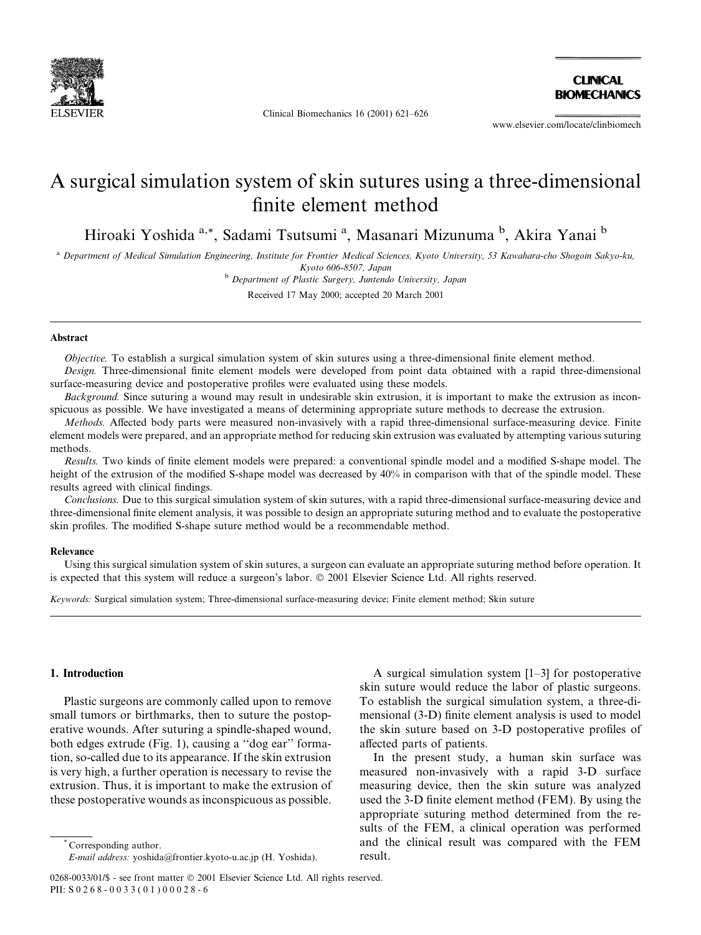

Clinical Biomechanics 16 (2001) 621-626

**CLINICAL RIOMECHANICS** 

www.elsevier.com/locate/clinbiomech

# A surgical simulation system of skin sutures using a three-dimensional finite element method

Hiroaki Yoshida a,\*, Sadami Tsutsumi <sup>a</sup>, Masanari Mizunuma <sup>b</sup>, Akira Yanai <sup>b</sup>

a Department of Medical Simulation Engineering, Institute for Frontier Medical Sciences, Kyoto University, 53 Kawahara-cho Shogoin Sakyo-ku, Kyoto 606-8507, Japan

<sup>b</sup> Department of Plastic Surgery, Juntendo University, Japan

Received 17 May 2000; accepted 20 March 2001

## **Abstract**

Objective. To establish a surgical simulation system of skin sutures using a three-dimensional finite element method.

Design. Three-dimensional finite element models were developed from point data obtained with a rapid three-dimensional surface-measuring device and postoperative profiles were evaluated using these models.

Background. Since suturing a wound may result in undesirable skin extrusion, it is important to make the extrusion as inconspicuous as possible. We have investigated a means of determining appropriate suture methods to decrease the extrusion.

Methods. Affected body parts were measured non-invasively with a rapid three-dimensional surface-measuring device. Finite element models were prepared, and an appropriate method for reducing skin extrusion was evaluated by attempting various suturing methods.

Results. Two kinds of finite element models were prepared: a conventional spindle model and a modified S-shape model. The height of the extrusion of the modified S-shape model was decreased by 40% in comparison with that of the spindle model. These results agreed with clinical findings.

Conclusions. Due to this surgical simulation system of skin sutures, with a rapid three-dimensional surface-measuring device and three-dimensional finite element analysis, it was possible to design an appropriate suturing method and to evaluate the postoperative skin profiles. The modified S-shape suture method would be a recommendable method.

#### Relevance

Using this surgical simulation system of skin sutures, a surgeon can evaluate an appropriate suturing method before operation. It is expected that this system will reduce a surgeon's labor. © 2001 Elsevier Science Ltd. All rights reserved.

Keywords: Surgical simulation system; Three-dimensional surface-measuring device; Finite element method; Skin suture

## 1. Introduction

Plastic surgeons are commonly called upon to remove small tumors or birthmarks, then to suture the postoperative wounds. After suturing a spindle-shaped wound, both edges extrude (Fig. 1), causing a "dog ear" formation, so-called due to its appearance. If the skin extrusion is very high, a further operation is necessary to revise the extrusion. Thus, it is important to make the extrusion of these postoperative wounds as inconspicuous as possible.

Corresponding author. E-mail address: yoshida@frontier.kyoto-u.ac.jp (H. Yoshida).

A surgical simulation system  $[1-3]$  for postoperative skin suture would reduce the labor of plastic surgeons. To establish the surgical simulation system, a three-dimensional (3-D) finite element analysis is used to model the skin suture based on 3-D postoperative profiles of affected parts of patients.

In the present study, a human skin surface was measured non-invasively with a rapid 3-D surface measuring device, then the skin suture was analyzed used the 3-D finite element method (FEM). By using the appropriate suturing method determined from the results of the FEM, a clinical operation was performed and the clinical result was compared with the FEM result

<sup>0268-0033/01/\$ -</sup> see front matter © 2001 Elsevier Science Ltd. All rights reserved. PII: S 0 2 6 8 - 0 0 3 3 (0 1) 0 0 0 2 8 - 6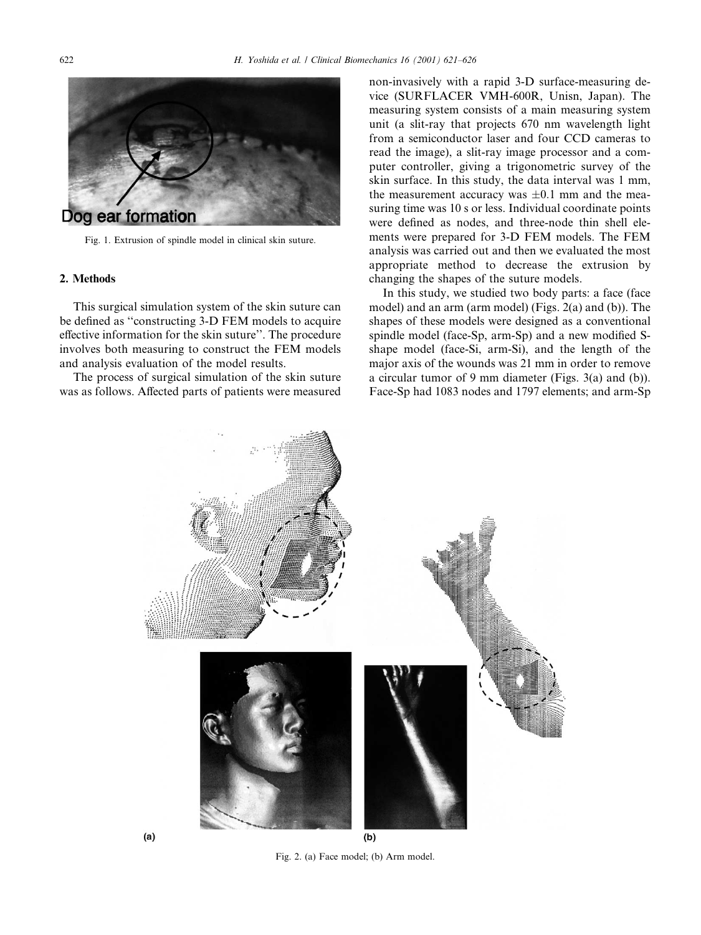

Fig. 1. Extrusion of spindle model in clinical skin suture.

# 2. Methods

This surgical simulation system of the skin suture can be defined as "constructing 3-D FEM models to acquire effective information for the skin suture". The procedure involves both measuring to construct the FEM models and analysis evaluation of the model results.

The process of surgical simulation of the skin suture was as follows. Affected parts of patients were measured

non-invasively with a rapid 3-D surface-measuring device (SURFLACER VMH-600R, Unisn, Japan). The measuring system consists of a main measuring system unit (a slit-ray that projects 670 nm wavelength light from a semiconductor laser and four CCD cameras to read the image), a slit-ray image processor and a computer controller, giving a trigonometric survey of the skin surface. In this study, the data interval was 1 mm, the measurement accuracy was  $\pm 0.1$  mm and the measuring time was 10 s or less. Individual coordinate points were defined as nodes, and three-node thin shell elements were prepared for 3-D FEM models. The FEM analysis was carried out and then we evaluated the most appropriate method to decrease the extrusion by changing the shapes of the suture models.

In this study, we studied two body parts: a face (face) model) and an arm (arm model) (Figs. 2(a) and (b)). The shapes of these models were designed as a conventional spindle model (face-Sp, arm-Sp) and a new modified Sshape model (face-Si, arm-Si), and the length of the major axis of the wounds was 21 mm in order to remove a circular tumor of 9 mm diameter (Figs.  $3(a)$  and (b)). Face-Sp had 1083 nodes and 1797 elements; and arm-Sp





Fig. 2. (a) Face model; (b) Arm model.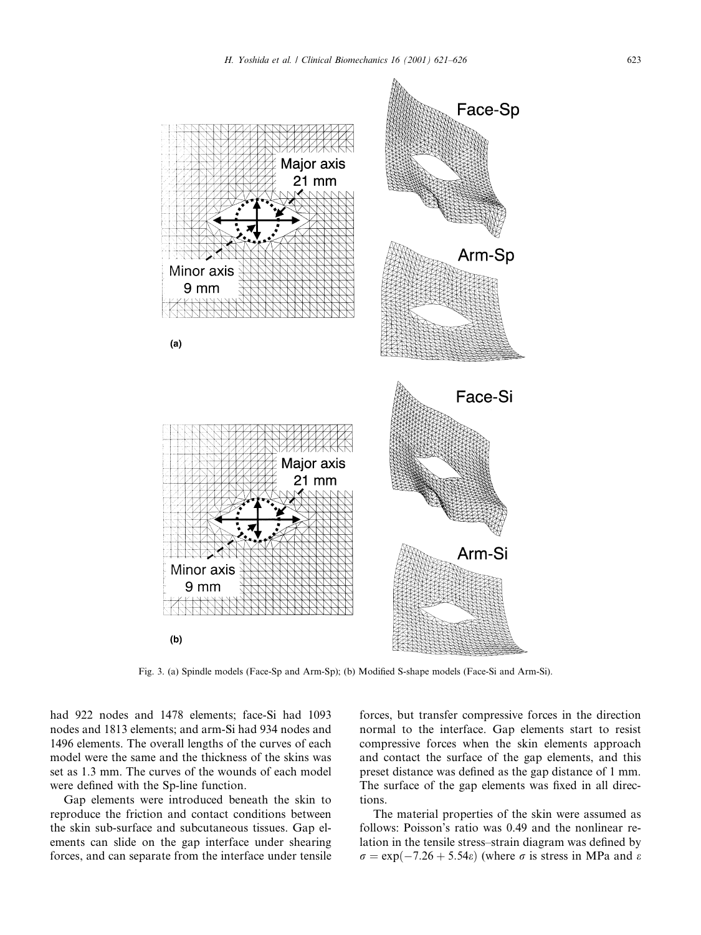

Fig. 3. (a) Spindle models (Face-Sp and Arm-Sp); (b) Modified S-shape models (Face-Si and Arm-Si).

had 922 nodes and 1478 elements; face-Si had 1093 nodes and 1813 elements; and arm-Si had 934 nodes and 1496 elements. The overall lengths of the curves of each model were the same and the thickness of the skins was set as 1.3 mm. The curves of the wounds of each model were defined with the Sp-line function.

Gap elements were introduced beneath the skin to reproduce the friction and contact conditions between the skin sub-surface and subcutaneous tissues. Gap elements can slide on the gap interface under shearing forces, and can separate from the interface under tensile forces, but transfer compressive forces in the direction normal to the interface. Gap elements start to resist compressive forces when the skin elements approach and contact the surface of the gap elements, and this preset distance was defined as the gap distance of 1 mm. The surface of the gap elements was fixed in all directions.

The material properties of the skin were assumed as follows: Poisson's ratio was 0.49 and the nonlinear relation in the tensile stress-strain diagram was defined by  $\sigma = \exp(-7.26 + 5.54\varepsilon)$  (where  $\sigma$  is stress in MPa and  $\varepsilon$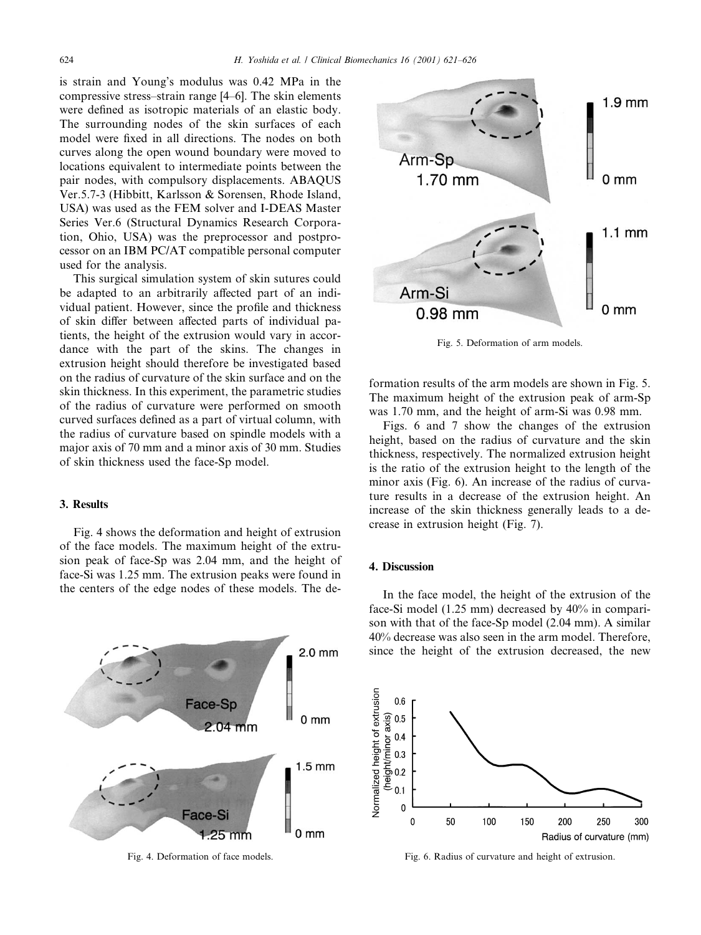is strain and Young's modulus was 0.42 MPa in the compressive stress-strain range [4–6]. The skin elements were defined as isotropic materials of an elastic body. The surrounding nodes of the skin surfaces of each model were fixed in all directions. The nodes on both curves along the open wound boundary were moved to locations equivalent to intermediate points between the pair nodes, with compulsory displacements. ABAQUS Ver. 5.7-3 (Hibbitt, Karlsson & Sorensen, Rhode Island, USA) was used as the FEM solver and I-DEAS Master Series Ver.6 (Structural Dynamics Research Corporation, Ohio, USA) was the preprocessor and postprocessor on an IBM PC/AT compatible personal computer used for the analysis.

This surgical simulation system of skin sutures could be adapted to an arbitrarily affected part of an individual patient. However, since the profile and thickness of skin differ between affected parts of individual patients, the height of the extrusion would vary in accordance with the part of the skins. The changes in extrusion height should therefore be investigated based on the radius of curvature of the skin surface and on the skin thickness. In this experiment, the parametric studies of the radius of curvature were performed on smooth curved surfaces defined as a part of virtual column, with the radius of curvature based on spindle models with a major axis of 70 mm and a minor axis of 30 mm. Studies of skin thickness used the face-Sp model.

## 3. Results

Fig. 4 shows the deformation and height of extrusion of the face models. The maximum height of the extrusion peak of face-Sp was 2.04 mm, and the height of face-Si was 1.25 mm. The extrusion peaks were found in the centers of the edge nodes of these models. The de-



Fig. 4. Deformation of face models.



Fig. 5. Deformation of arm models.

formation results of the arm models are shown in Fig. 5. The maximum height of the extrusion peak of arm-Sp was 1.70 mm, and the height of arm-Si was 0.98 mm.

Figs. 6 and 7 show the changes of the extrusion height, based on the radius of curvature and the skin thickness, respectively. The normalized extrusion height is the ratio of the extrusion height to the length of the minor axis (Fig. 6). An increase of the radius of curvature results in a decrease of the extrusion height. An increase of the skin thickness generally leads to a decrease in extrusion height (Fig. 7).

## 4. Discussion

In the face model, the height of the extrusion of the face-Si model (1.25 mm) decreased by 40% in comparison with that of the face-Sp model (2.04 mm). A similar 40% decrease was also seen in the arm model. Therefore, since the height of the extrusion decreased, the new



Fig. 6. Radius of curvature and height of extrusion.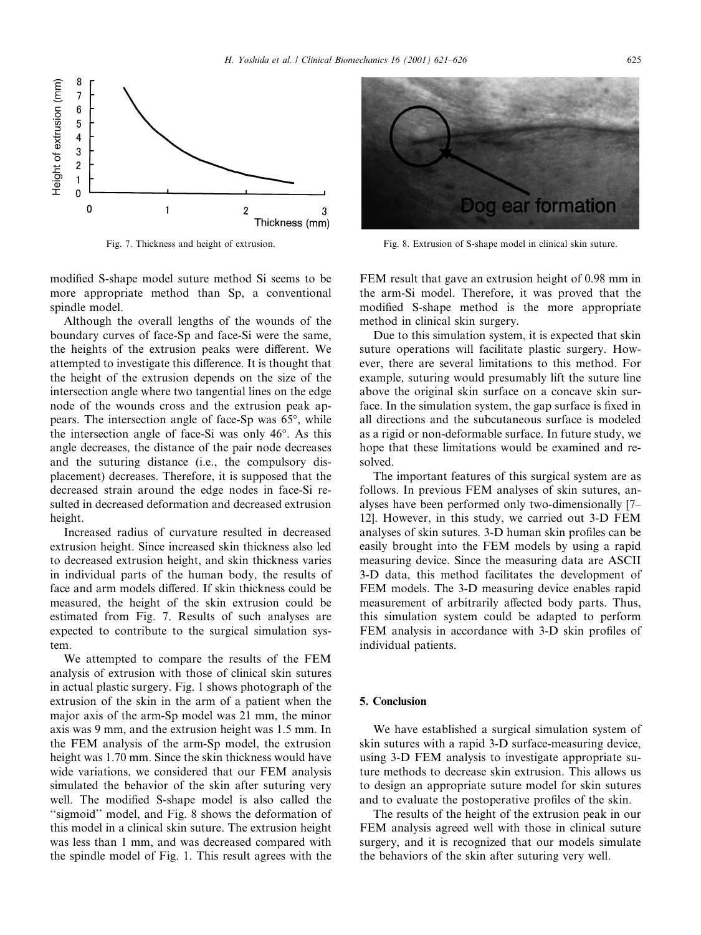

Fig. 7. Thickness and height of extrusion.

modified S-shape model suture method Si seems to be more appropriate method than Sp, a conventional spindle model.

Although the overall lengths of the wounds of the boundary curves of face-Sp and face-Si were the same, the heights of the extrusion peaks were different. We attempted to investigate this difference. It is thought that the height of the extrusion depends on the size of the intersection angle where two tangential lines on the edge node of the wounds cross and the extrusion peak appears. The intersection angle of face-Sp was 65°, while the intersection angle of face-Si was only 46°. As this angle decreases, the distance of the pair node decreases and the suturing distance (i.e., the compulsory displacement) decreases. Therefore, it is supposed that the decreased strain around the edge nodes in face-Si resulted in decreased deformation and decreased extrusion height.

Increased radius of curvature resulted in decreased extrusion height. Since increased skin thickness also led to decreased extrusion height, and skin thickness varies in individual parts of the human body, the results of face and arm models differed. If skin thickness could be measured, the height of the skin extrusion could be estimated from Fig. 7. Results of such analyses are expected to contribute to the surgical simulation system.

We attempted to compare the results of the FEM analysis of extrusion with those of clinical skin sutures in actual plastic surgery. Fig. 1 shows photograph of the extrusion of the skin in the arm of a patient when the major axis of the arm-Sp model was 21 mm, the minor axis was 9 mm, and the extrusion height was 1.5 mm. In the FEM analysis of the arm-Sp model, the extrusion height was 1.70 mm. Since the skin thickness would have wide variations, we considered that our FEM analysis simulated the behavior of the skin after suturing very well. The modified S-shape model is also called the "sigmoid" model, and Fig. 8 shows the deformation of this model in a clinical skin suture. The extrusion height was less than 1 mm, and was decreased compared with the spindle model of Fig. 1. This result agrees with the



Fig. 8. Extrusion of S-shape model in clinical skin suture.

FEM result that gave an extrusion height of 0.98 mm in the arm-Si model. Therefore, it was proved that the modified S-shape method is the more appropriate method in clinical skin surgery.

Due to this simulation system, it is expected that skin suture operations will facilitate plastic surgery. However, there are several limitations to this method. For example, suturing would presumably lift the suture line above the original skin surface on a concave skin surface. In the simulation system, the gap surface is fixed in all directions and the subcutaneous surface is modeled as a rigid or non-deformable surface. In future study, we hope that these limitations would be examined and resolved.

The important features of this surgical system are as follows. In previous FEM analyses of skin sutures, analyses have been performed only two-dimensionally [7– 12]. However, in this study, we carried out 3-D FEM analyses of skin sutures. 3-D human skin profiles can be easily brought into the FEM models by using a rapid measuring device. Since the measuring data are ASCII 3-D data, this method facilitates the development of FEM models. The 3-D measuring device enables rapid measurement of arbitrarily affected body parts. Thus, this simulation system could be adapted to perform FEM analysis in accordance with 3-D skin profiles of individual patients.

## 5. Conclusion

We have established a surgical simulation system of skin sutures with a rapid 3-D surface-measuring device, using 3-D FEM analysis to investigate appropriate suture methods to decrease skin extrusion. This allows us to design an appropriate suture model for skin sutures and to evaluate the postoperative profiles of the skin.

The results of the height of the extrusion peak in our FEM analysis agreed well with those in clinical suture surgery, and it is recognized that our models simulate the behaviors of the skin after suturing very well.